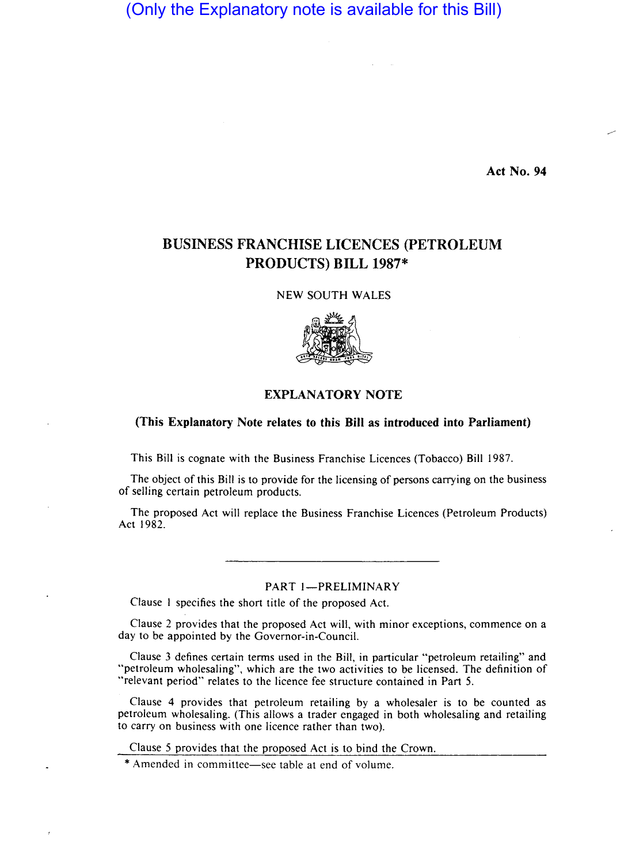(Only the Explanatory note is available for this Bill)

**Act No. 94** 

# **BUSINESS FRANCHISE LICENCES (PETROLEUM PRODUCTS) BILL 1987\***

NEW SOUTH WALES



# **EXPLANATORY NOTE**

# **(This Explanatory Note relates to this Bill as introduced into Parliament)**

This Bill is cognate with the Business Franchise Licences (Tobacco) Bill 1987.

The object of this Bill is to provide for the licensing of persons carrying on the business of selling certain petroleum products.

The proposed Act will replace the Business Franchise Licences (Petroleum Products) Act 1982.

# PART 1-PRELIMINARY

Clause I specifies the short title of the proposed Act.

Clause 2 provides that the proposed Act will, with minor exceptions, commence on a day to be appointed by the Governor-in-Council.

Clause 3 defines certain terms used in the Bill, in particular "petroleum retailing" and "petroleum wholesaling", which are the two activities to be licensed. The definition of "relevant period" relates to the licence fee structure contained in Part 5.

Clause 4 provides that petroleum retailing by a wholesaler is to be counted as petroleum wholesaling. (This allows a trader engaged in both wholesaling and retailing to carry on business with one licence rather than two).

Clause 5 provides that the proposed Act is to bind the Crown.

\* Amended in committee-see table at end of volume.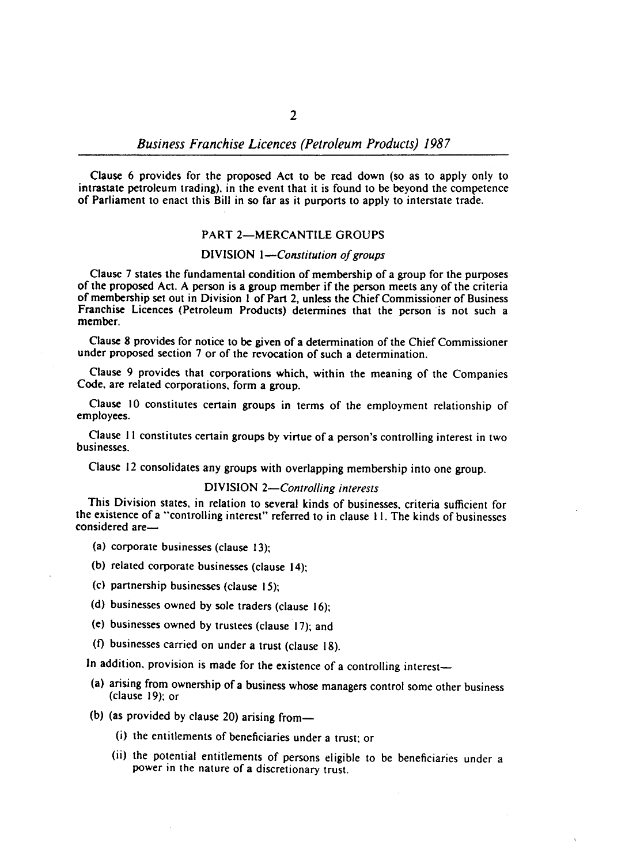Clause 6 provides for the proposed Act to be read down (so as to apply only to intrastate petroleum trading), in the event that it is found to be beyond the competence of Parliament to enact this Bill in so far as it purports to apply to interstate trade.

## PART 2-MERCANTILE GROUPS

## DIVISION *I-Constitution of groups*

Clause 7 states the fundamental condition of membership of a group for the purposes of the proposed Act. A person is a group member if the person meets any of the criteria of membership set out in Division I of Part 2, unless the Chief Commissioner of Business Franchise Licences (Petroleum Products) determines that the person is not such a member.

Clause 8 provides for notice to be given of a determination of the Chief Commissioner under proposed section 7 or of the revocation of such a determination.

Clause 9 provides that corporations which, within the meaning of the Companies Code. are related corporations. form a group.

Clause 10 constitutes certain groups in terms of the employment relationship of employees.

Clause II constitutes certain groups by virtue of a person's controlling interest in two businesses.

Clause 12 consolidates any groups with overlapping membership into one group.

# DIVISION *2-Controlling interests*

This Division states. in relation to several kinds of businesses, criteria sufficient for the existence of a "controlling interest" referred to in clause 11. The kinds of businesses considered are-

- (a) corporate businesses (clause 13);
- (b) related corporate businesses (clause 14);
- (c) partnership businesses (clause 15);
- (d) businesses owned by sole traders (clause 16);
- (e) businesses owned by trustees (clause 17); and
- (1) businesses carried on under a trust (clause 18).

In addition, provision is made for the existence of a controlling interest-

- (a) arising from ownership of a business whose managers control some other business (clause 19); or
- (b) (as provided by clause 20) arising from-
	- (i) the entitlements of beneficiaries under a trust; or
	- (ii) the potential entitlements of persons eligible to be beneficiaries under a power in the nature of a discretionary trust.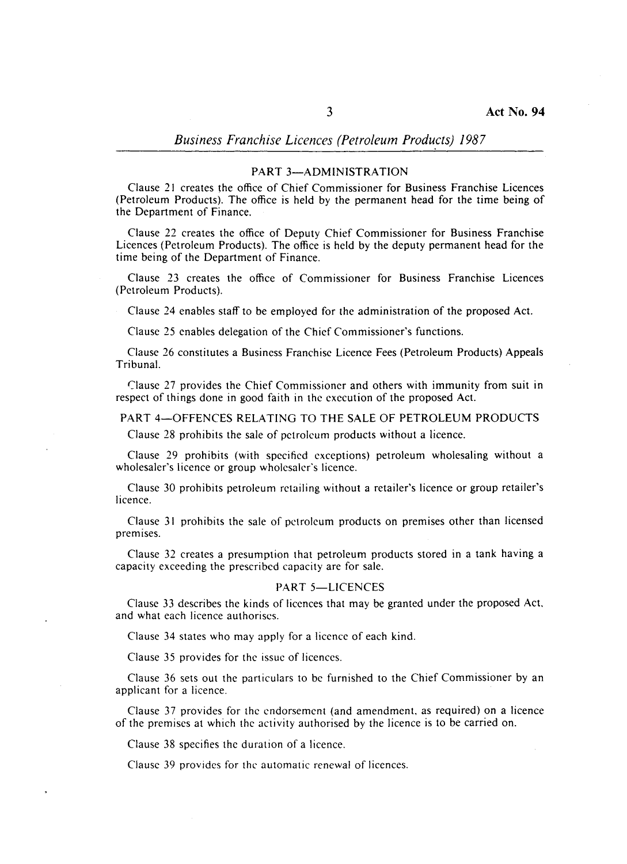## PART 3-ADMINISTRATION

Clause 21 creates the office of Chief Commissioner for Business Franchise Licences (Petroleum Products). The office is held by the permanent head for the time being of the Department of Finance.

Clause 22 creates the office of Deputy Chief Commissioner for Business Franchise Licences (Petroleum Products). The office is held by the deputy permanent head for the time being of the Department of Finance.

Clause 23 creates the office of Commissioner for Business Franchise Licences (Petroleum Products).

Clause 24 enables staff to be employed for the administration of the proposed Act.

Clause 25 enables delegation of the Chief Commissioner's functions.

Clause 26 constitutes a Business Franchise Licence Fees (Petroleum Products) Appeals Tribunal.

Clause 27 provides the Chief Commissioner and others with immunity from suit in respect of things done in good faith in the execution of the proposed Act.

#### PART 4-0FFENCES RELATING TO THE SALE OF PETROLEUM PRODUCTS

Clause 28 prohibits the sale of petroleum products without a licence.

Clause 29 prohibits (with specified exceptions) petroleum wholesaling without a wholesaler's licence or group wholesaler's licence.

Clause 30 prohibits petroleum retailing without a retailer's licence or group retailer's licence.

Clause 31 prohibits the sale of petroleum products on premises other than licensed premises.

Clause 32 creates a presumption that petroleum products stored in a tank having a capacity exceeding the prescribed capacity are for sale.

#### PART 5-LICENCES

Clause 33 describes the kinds of licences that may be granted under the proposed Act. and what each licence authorises.

Clause 34 states who may apply for a licence of each kind.

Clause 35 provides for the issue of licences.

Clause 36 sets out the particulars to be furnished to the Chief Commissioner by an applicant for a licence.

Clause 37 provides for the endorsement (and amendment, as required) on a licence of the premises at which the activity authorised by the licence is to be carried on.

Clause 38 specifies the duration of a licence.

Clause 39 provides for the automatic renewal of licences.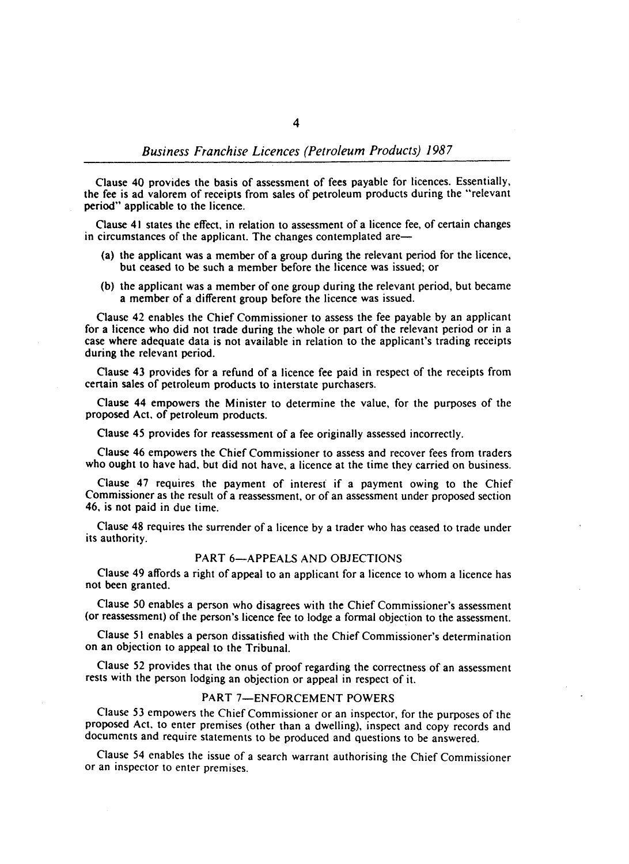Clause 40 provides the basis of assessment of fees payable for licences. Essentially, the fee is ad valorem of receipts from sales of petroleum products during the "relevant period" applicable to the licence.

Clause 41 states the effect, in relation to assessment of a licence fee, of certain changes in circumstances of the applicant. The changes contemplated are-

- (a) the applicant was a member of a group during the relevant period for the licence, but ceased to be such a member before the licence was issued; or
- (b) the applicant was a member of one group during the relevant period, but became a member of a different group before the licence was issued.

Clause 42 enables the Chief Commissioner to assess the fee payable by an applicant for a licence who did not trade during the whole or part of the relevant period or in a case where adequate data is not available in relation to the applicant's trading receipts during the relevant period.

Clause 43 provides for a refund of a licence fee paid in respect of the receipts from certain sales of petroleum products to interstate purchasers.

Clause 44 empowers the Minister to determine the value, for the purposes of the proposed Act. of petroleum products.

Clause 45 provides for reassessment of a fee originally assessed incorrectly.

Clause 46 empowers the Chief Commissioner to assess and recover fees from traders who ought to have had, but did not have, a licence at the time they carried on business.

Clause 47 requires the payment of interest if a payment owing to the Chief Commissioner as the result of a reassessment, or of an assessment under proposed section 46. is not paid in due time.

Clause 48 requires the surrender of a licence by a trader who has ceased to trade under its authority.

## PART 6-APPEALS AND OBJECTIONS

Clause 49 affords a right of appeal to an applicant for a licence to whom a licence has not been granted.

Clause 50 enables a person who disagrees with the Chief Commissioner's assessment (or reassessment) of the person's licence fee to lodge a formal objection to the assessment.

Clause 51 enables a person dissatisfied with the Chief Commissioner's determination on an objection to appeal to the Tribunal.

Clause 52 provides that the onus of proof regarding the correctness of an assessment rests with the person lodging an objection or appeal in respect of it.

## PART 7-ENFORCEMENT POWERS

Clause 53 empowers the Chief Commissioner or an inspector, for the purposes of the proposed Act. to enter premises (other than a dwelling), inspect and copy records and documents and require statements to be produced and questions to be answered.

Clause 54 enables the issue of a search warrant authorising the Chief Commissioner or an inspector to enter premises.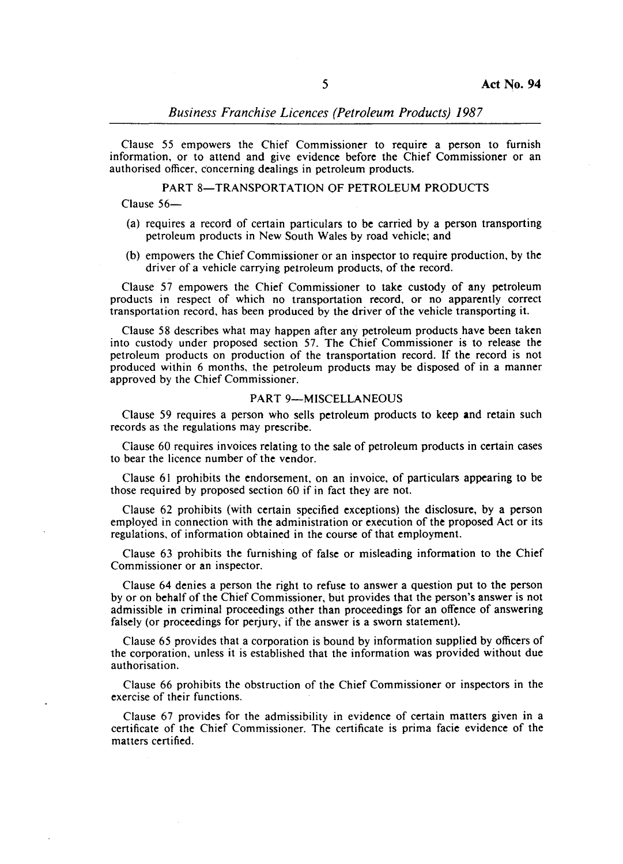Clause 55 empowers the Chief Commissioner to require a person to furnish information, or to attend and give evidence before the Chief Commissioner or an authorised officer, concerning dealings in petroleum products.

### PART 8-TRANSPORTATION OF PETROLEUM PRODUCTS

Clause 56-

- (a) requires a record of certain particulars to be carried by a person transporting petroleum products in New South Wales by road vehicle; and
- (b) empowers the Chief Commissioner or an inspector to require production, by the driver of a vehicle carrying petroleum products, of the record.

Clause 57 empowers the Chief Commissioner to take custody of any petroleum products in respect of which no transportation record, or no apparently correct transportation record, has been produced by the driver of the vehicle transporting it.

Clause 58 describes what may happen after any petroleum products have been taken into custody under proposed section 57. The Chief Commissioner is to release the petroleum products on production of the transportation record. If the record is not produced within 6 months, the petroleum products may be disposed of in a manner approved by the Chief Commissioner.

#### PART 9-MISCELLANEOUS

Clause 59 requires a person who sells petroleum products to keep and retain such records as the regulations may prescribe.

Clause 60 requires invoices relating to the sale of petroleum products in certain cases to bear the licence number of the vendor.

Clause 61 prohibits the endorsement, on an invoice, of particulars appearing to be those required by proposed section 60 if in fact they are not.

Clause 62 prohibits (with certain specified exceptions) the disclosure, by a person employed in connection with the administration or execution of the proposed Act or its regulations. of information obtained in the course of that employment.

Clause 63 prohibits the furnishing of false or misleading information to the Chief Commissioner or an inspector.

Clause 64 denies a person the right to refuse to answer a question put to the person by or on behalf of 'the Chief Commissioner. but provides that the person's answer is not admissible in criminal proceedings other than proceedings for an offence of answering falsely (or proceedings for perjury, if the answer is a sworn statement).

Clause 65 provides that a corporation is bound by information supplied by officers of the corporation, unless it is established that the information was provided without due authorisation.

Clause 66 prohibits the obstruction of the Chief Commissioner or inspectors in the exercise of their functions.

Clause 67 provides for the admissibility in evidence of certain matters given in a certificate of the Chief Commissioner. The certificate is prima facie evidence of the matters certified.